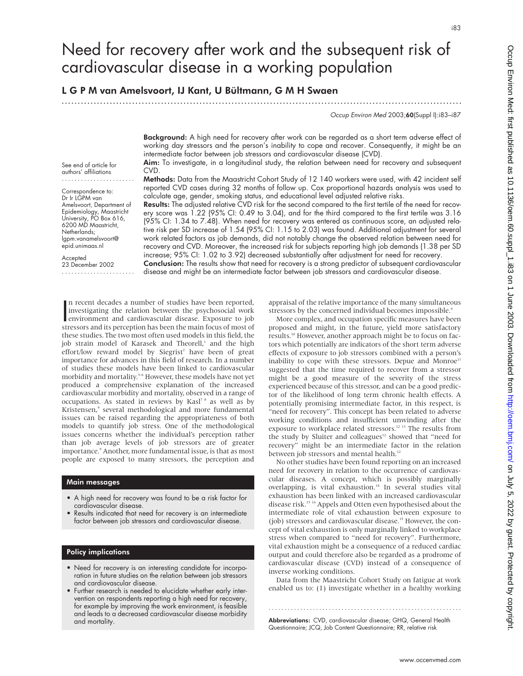# Need for recovery after work and the subsequent risk of cardiovascular disease in a working population

# L G P M van Amelsvoort, IJ Kant, U Bültmann,GMH Swaen

# .............................................................................................................................

Occup Environ Med 2003;60(Suppl I):i83–i87

Background: A high need for recovery after work can be regarded as a short term adverse effect of working day stressors and the person's inability to cope and recover. Consequently, it might be an intermediate factor between job stressors and cardiovascular disease (CVD).

Aim: To investigate, in a longitudinal study, the relation between need for recovery and subsequent CVD.

Methods: Data from the Maastricht Cohort Study of 12 140 workers were used, with 42 incident self reported CVD cases during 32 months of follow up. Cox proportional hazards analysis was used to calculate age, gender, smoking status, and educational level adjusted relative risks.

Results: The adjusted relative CVD risk for the second compared to the first tertile of the need for recovery score was 1.22 (95% CI: 0.49 to 3.04), and for the third compared to the first tertile was 3.16 (95% CI: 1.34 to 7.48). When need for recovery was entered as continuous score, an adjusted relative risk per SD increase of 1.54 (95% CI: 1.15 to 2.03) was found. Additional adjustment for several work related factors as job demands, did not notably change the observed relation between need for recovery and CVD. Moreover, the increased risk for subjects reporting high job demands (1.38 per SD increase; 95% CI: 1.02 to 3.92) decreased substantially after adjustment for need for recovery.

Conclusion: The results show that need for recovery is a strong predictor of subsequent cardiovascular disease and might be an intermediate factor between job stressors and cardiovascular disease.

In recent decades a number of studies have been reported,<br>investigating the relation between the psychosocial work<br>environment and cardiovascular disease. Exposure to job<br>stressors and its perception has been the main focu n recent decades a number of studies have been reported, investigating the relation between the psychosocial work stressors and its perception has been the main focus of most of these studies. The two most often used models in this field, the job strain model of Karasek and Theorell,<sup>1</sup> and the high effort/low reward model by Siegrist<sup>2</sup> have been of great importance for advances in this field of research. In a number of studies these models have been linked to cardiovascular morbidity and mortality.<sup>3-6</sup> However, these models have not yet produced a comprehensive explanation of the increased cardiovascular morbidity and mortality, observed in a range of occupations. As stated in reviews by Kasl<sup>78</sup> as well as by Kristensen,<sup>9</sup> several methodological and more fundamental issues can be raised regarding the appropriateness of both models to quantify job stress. One of the methodological issues concerns whether the individual's perception rather than job average levels of job stressors are of greater importance.<sup>9</sup> Another, more fundamental issue, is that as most people are exposed to many stressors, the perception and

#### Main messages

- A high need for recovery was found to be a risk factor for cardiovascular disease.
- Results indicated that need for recovery is an intermediate factor between job stressors and cardiovascular disease.

#### Policy implications

- Need for recovery is an interesting candidate for incorporation in future studies on the relation between job stressors and cardiovascular disease.
- Further research is needed to elucidate whether early intervention on respondents reporting a high need for recovery, for example by improving the work environment, is feasible and leads to a decreased cardiovascular disease morbidity and mortality.

appraisal of the relative importance of the many simultaneous stressors by the concerned individual becomes impossible.<sup>9</sup>

More complex, and occupation specific measures have been proposed and might, in the future, yield more satisfactory results.10 However, another approach might be to focus on factors which potentially are indicators of the short term adverse effects of exposure to job stressors combined with a person's inability to cope with these stressors. Depue and Monroe<sup>11</sup> suggested that the time required to recover from a stressor might be a good measure of the severity of the stress experienced because of this stressor, and can be a good predictor of the likelihood of long term chronic health effects. A potentially promising intermediate factor, in this respect, is "need for recovery". This concept has been related to adverse working conditions and insufficient unwinding after the exposure to workplace related stressors.<sup>12-13</sup> The results from the study by Sluiter and colleagues $12$  showed that "need for recovery" might be an intermediate factor in the relation between job stressors and mental health.<sup>12</sup>

No other studies have been found reporting on an increased need for recovery in relation to the occurrence of cardiovascular diseases. A concept, which is possibly marginally overlapping, is vital exhaustion.<sup>14</sup> In several studies vital exhaustion has been linked with an increased cardiovascular disease risk.15 16 Appels and Otten even hypothesised about the intermediate role of vital exhaustion between exposure to (job) stressors and cardiovascular disease.<sup>15</sup> However, the concept of vital exhaustion is only marginally linked to workplace stress when compared to "need for recovery". Furthermore, vital exhaustion might be a consequence of a reduced cardiac output and could therefore also be regarded as a prodrome of cardiovascular disease (CVD) instead of a consequence of inverse working conditions.

Data from the Maastricht Cohort Study on fatigue at work enabled us to: (1) investigate whether in a healthy working

Abbreviations: CVD, cardiovascular disease; GHQ, General Health Questionnaire; JCQ, Job Content Questionnaire; RR, relative risk

.............................................................

Correspondence to: Dr Ir LGPM van Amelsvoort, Department of Epidemiology, Maastricht University, PO Box 616, 6200 MD Maastricht, Netherlands; lgpm.vanamelsvoort@ epid.unimaas.nl

See end of article for authors' affiliations .......................

Accepted 23 December 2002 .......................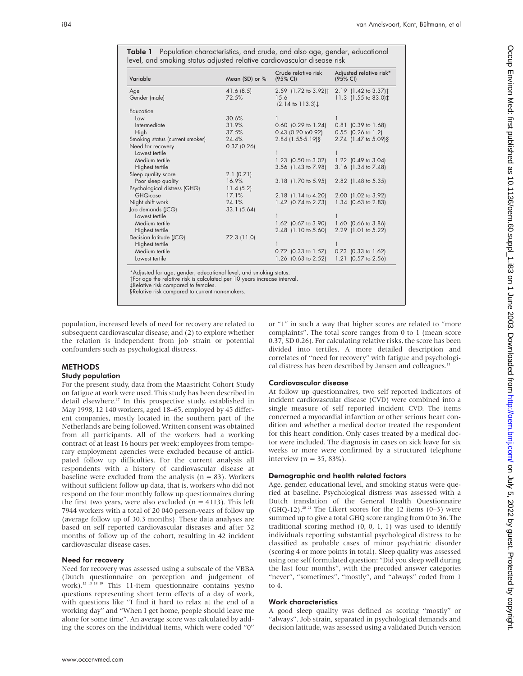| Variable                            | Mean (SD) or %  | Crude relative risk<br>(95% CI)      | Adjusted relative risk*<br>(95% CI) |  |  |
|-------------------------------------|-----------------|--------------------------------------|-------------------------------------|--|--|
| Age                                 | 41.6(8.5)       | 2.59 (1.72 to 3.92) <sup>†</sup>     | 2.19 (1.42 to 3.37) <sup>†</sup>    |  |  |
| Gender (male)                       | 72.5%           | 15.6<br>$(2.14 \text{ to } 113.3)$ ‡ | 11.3 (1.55 to 83.0)‡                |  |  |
| Education                           |                 |                                      |                                     |  |  |
| Low                                 | 30.6%           |                                      |                                     |  |  |
| Intermediate                        | 31.9%           | $0.60$ $(0.29$ to 1.24)              | 0.81 (0.39 to 1.68)                 |  |  |
| High                                | 37.5%           | 0.43 (0.20 to 0.92)                  | $0.55$ (0.26 to 1.2)                |  |  |
| Smoking status (current smoker)     | 24.4%           | $2.84$ (1.55-5.19)§                  | 2.74 (1.47 to 5.09)§                |  |  |
| Need for recovery<br>Lowest tertile | $0.37$ $(0.26)$ |                                      |                                     |  |  |
| Medium tertile                      |                 | 1.23 (0.50 to 3.02)                  | 1.22 (0.49 to 3.04)                 |  |  |
| Highest tertile                     |                 | 3.56 (1.43 to 7.98)                  | 3.16 (1.34 to 7.48)                 |  |  |
| Sleep quality score                 | 2.1(0.71)       |                                      |                                     |  |  |
| Poor sleep quality                  | 16.9%           | 3.18 (1.70 to 5.95)                  | 2.82 (1.48 to 5.35)                 |  |  |
| Psychological distress (GHQ)        | 11.4(5.2)       |                                      |                                     |  |  |
| GHQ-case                            | 17.1%           | $2.18$ (1.14 to 4.20)                | 2.00 (1.02 to 3.92)                 |  |  |
| Night shift work                    | 24.1%           | 1.42 (0.74 to 2.73)                  | 1.34 (0.63 to 2.83)                 |  |  |
| Job demands (JCQ)                   | 33.1(5.64)      |                                      |                                     |  |  |
| Lowest tertile                      |                 |                                      |                                     |  |  |
| Medium tertile                      |                 | 1.62 $(0.67 \text{ to } 3.90)$       | 1.60 (0.66 to 3.86)                 |  |  |
| Highest tertile                     |                 | 2.48 (1.10 to 5.60)                  | 2.29 (1.01 to 5.22)                 |  |  |
| Decision latitude (JCQ)             | 72.3 (11.0)     |                                      |                                     |  |  |
| Highest tertile                     |                 |                                      |                                     |  |  |
| Medium tertile                      |                 | $0.72$ (0.33 to 1.57)                | 0.73 (0.33 to 1.62)                 |  |  |
| Lowest tertile                      |                 | 1.26 (0.63 to 2.52)                  | 1.21 (0.57 to 2.56)                 |  |  |
|                                     |                 |                                      |                                     |  |  |

Table 1 Population characteristics, and crude, and also age, gender, educational level, and smoking status adjusted relative cardiovascular disease risk

\*Adjusted for age, gender, educational level, and smoking status.

†For age the relative risk is calculated per 10 years increase interval.

‡Relative risk compared to females. §Relative risk compared to current non-smokers.

population, increased levels of need for recovery are related to subsequent cardiovascular disease; and (2) to explore whether the relation is independent from job strain or potential confounders such as psychological distress.

## **METHODS**

#### Study population

For the present study, data from the Maastricht Cohort Study on fatigue at work were used. This study has been described in detail elsewhere.<sup>17</sup> In this prospective study, established in May 1998, 12 140 workers, aged 18–65, employed by 45 different companies, mostly located in the southern part of the Netherlands are being followed. Written consent was obtained from all participants. All of the workers had a working contract of at least 16 hours per week; employees from temporary employment agencies were excluded because of anticipated follow up difficulties. For the current analysis all respondents with a history of cardiovascular disease at baseline were excluded from the analysis ( $n = 83$ ). Workers without sufficient follow up data, that is, workers who did not respond on the four monthly follow up questionnaires during the first two years, were also excluded  $(n = 4113)$ . This left 7944 workers with a total of 20 040 person-years of follow up (average follow up of 30.3 months). These data analyses are based on self reported cardiovascular diseases and after 32 months of follow up of the cohort, resulting in 42 incident cardiovascular disease cases.

#### Need for recovery

Need for recovery was assessed using a subscale of the VBBA (Dutch questionnaire on perception and judgement of work).12 13 18 19 This 11-item questionnaire contains yes/no questions representing short term effects of a day of work, with questions like "I find it hard to relax at the end of a working day" and "When I get home, people should leave me alone for some time". An average score was calculated by adding the scores on the individual items, which were coded "0"

or "1" in such a way that higher scores are related to "more complaints". The total score ranges from 0 to 1 (mean score 0.37; SD 0.26). For calculating relative risks, the score has been divided into tertiles. A more detailed description and correlates of "need for recovery" with fatigue and psychological distress has been described by Jansen and colleagues.<sup>13</sup>

### Cardiovascular disease

At follow up questionnaires, two self reported indicators of incident cardiovascular disease (CVD) were combined into a single measure of self reported incident CVD. The items concerned a myocardial infarction or other serious heart condition and whether a medical doctor treated the respondent for this heart condition. Only cases treated by a medical doctor were included. The diagnosis in cases on sick leave for six weeks or more were confirmed by a structured telephone interview ( $n = 35, 83\%$ ).

#### Demographic and health related factors

Age, gender, educational level, and smoking status were queried at baseline. Psychological distress was assessed with a Dutch translation of the General Health Questionnaire (GHQ-12).<sup>20 21</sup> The Likert scores for the 12 items (0–3) were summed up to give a total GHQ score ranging from 0 to 36. The traditional scoring method (0, 0, 1, 1) was used to identify individuals reporting substantial psychological distress to be classified as probable cases of minor psychiatric disorder (scoring 4 or more points in total). Sleep quality was assessed using one self formulated question: "Did you sleep well during the last four months", with the precoded answer categories "never", "sometimes", "mostly", and "always" coded from 1 to 4.

#### Work characteristics

A good sleep quality was defined as scoring "mostly" or "always". Job strain, separated in psychological demands and decision latitude, was assessed using a validated Dutch version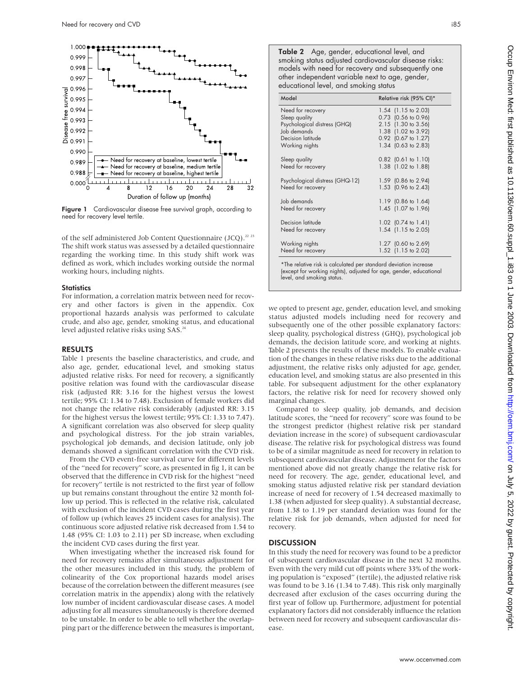

Figure 1 Cardiovascular disease free survival graph, according to need for recovery level tertile.

of the self administered Job Content Questionnaire (JCQ).<sup>22 23</sup> The shift work status was assessed by a detailed questionnaire regarding the working time. In this study shift work was defined as work, which includes working outside the normal working hours, including nights.

#### **Statistics**

For information, a correlation matrix between need for recovery and other factors is given in the appendix. Cox proportional hazards analysis was performed to calculate crude, and also age, gender, smoking status, and educational level adjusted relative risks using SAS.<sup>24</sup>

#### RESULTS

Table 1 presents the baseline characteristics, and crude, and also age, gender, educational level, and smoking status adjusted relative risks. For need for recovery, a significantly positive relation was found with the cardiovascular disease risk (adjusted RR: 3.16 for the highest versus the lowest tertile; 95% CI: 1.34 to 7.48). Exclusion of female workers did not change the relative risk considerably (adjusted RR: 3.15 for the highest versus the lowest tertile; 95% CI: 1.33 to 7.47). A significant correlation was also observed for sleep quality and psychological distress. For the job strain variables, psychological job demands, and decision latitude, only job demands showed a significant correlation with the CVD risk.

From the CVD event-free survival curve for different levels of the "need for recovery" score, as presented in fig 1, it can be observed that the difference in CVD risk for the highest "need for recovery" tertile is not restricted to the first year of follow up but remains constant throughout the entire 32 month follow up period. This is reflected in the relative risk, calculated with exclusion of the incident CVD cases during the first year of follow up (which leaves 25 incident cases for analysis). The continuous score adjusted relative risk decreased from 1.54 to 1.48 (95% CI: 1.03 to 2.11) per SD increase, when excluding the incident CVD cases during the first year.

When investigating whether the increased risk found for need for recovery remains after simultaneous adjustment for the other measures included in this study, the problem of colinearity of the Cox proportional hazards model arises because of the correlation between the different measures (see correlation matrix in the appendix) along with the relatively low number of incident cardiovascular disease cases. A model adjusting for all measures simultaneously is therefore deemed to be unstable. In order to be able to tell whether the overlapping part or the difference between the measures is important,

Table 2 Age, gender, educational level, and smoking status adjusted cardiovascular disease risks: models with need for recovery and subsequently one other independent variable next to age, gender, educational level, and smoking status

| Model                           | Relative risk (95% CI)*        |  |  |
|---------------------------------|--------------------------------|--|--|
| Need for recovery               | 1.54 (1.15 to 2.03)            |  |  |
| Sleep quality                   | 0.73 (0.56 to 0.96)            |  |  |
| Psychological distress (GHQ)    | 2.15 (1.30 to 3.56)            |  |  |
| Job demands                     | 1.38 (1.02 to 3.92)            |  |  |
| Decision latitude               | 0.92 (0.67 to 1.27)            |  |  |
| Working nights                  | 1.34 (0.63 to 2.83)            |  |  |
| Sleep quality                   | $0.82$ (0.61 to 1.10)          |  |  |
| Need for recovery               | 1.38 (1.02 to 1.88)            |  |  |
| Psychological distress (GHQ-12) | 1.59 (0.86 to 2.94)            |  |  |
| Need for recovery               | 1.53 (0.96 to 2.43)            |  |  |
| Job demands                     | 1.19 (0.86 to 1.64)            |  |  |
| Need for recovery               | 1.45 (1.07 to 1.96)            |  |  |
| Decision latitude               | 1.02 $(0.74 \text{ to } 1.41)$ |  |  |
| Need for recovery               | 1.54 (1.15 to 2.05)            |  |  |
| Working nights                  | 1.27 (0.60 to 2.69)            |  |  |
| Need for recovery               | 1.52 (1.15 to 2.02)            |  |  |

vorking nights), adjusted tor age, gei level, and smoking status.

we opted to present age, gender, education level, and smoking status adjusted models including need for recovery and subsequently one of the other possible explanatory factors: sleep quality, psychological distress (GHQ), psychological job demands, the decision latitude score, and working at nights. Table 2 presents the results of these models. To enable evaluation of the changes in these relative risks due to the additional adjustment, the relative risks only adjusted for age, gender, education level, and smoking status are also presented in this table. For subsequent adjustment for the other explanatory factors, the relative risk for need for recovery showed only marginal changes.

Compared to sleep quality, job demands, and decision latitude scores, the "need for recovery" score was found to be the strongest predictor (highest relative risk per standard deviation increase in the score) of subsequent cardiovascular disease. The relative risk for psychological distress was found to be of a similar magnitude as need for recovery in relation to subsequent cardiovascular disease. Adjustment for the factors mentioned above did not greatly change the relative risk for need for recovery. The age, gender, educational level, and smoking status adjusted relative risk per standard deviation increase of need for recovery of 1.54 decreased maximally to 1.38 (when adjusted for sleep quality). A substantial decrease, from 1.38 to 1.19 per standard deviation was found for the relative risk for job demands, when adjusted for need for recovery.

#### **DISCUSSION**

In this study the need for recovery was found to be a predictor of subsequent cardiovascular disease in the next 32 months. Even with the very mild cut off points where 33% of the working population is "exposed" (tertile), the adjusted relative risk was found to be 3.16 (1.34 to 7.48). This risk only marginally decreased after exclusion of the cases occurring during the first year of follow up. Furthermore, adjustment for potential explanatory factors did not considerably influence the relation between need for recovery and subsequent cardiovascular disease.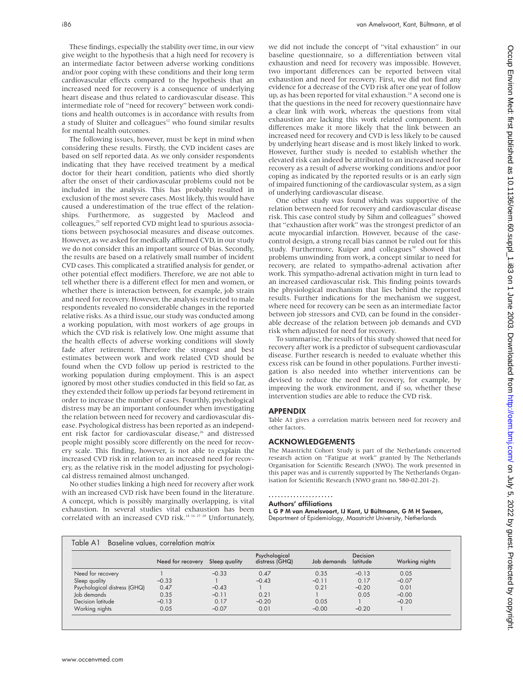These findings, especially the stability over time, in our view give weight to the hypothesis that a high need for recovery is an intermediate factor between adverse working conditions and/or poor coping with these conditions and their long term cardiovascular effects compared to the hypothesis that an increased need for recovery is a consequence of underlying heart disease and thus related to cardiovascular disease. This intermediate role of "need for recovery" between work conditions and health outcomes is in accordance with results from a study of Sluiter and colleagues<sup>12</sup> who found similar results for mental health outcomes.

The following issues, however, must be kept in mind when considering these results. Firstly, the CVD incident cases are based on self reported data. As we only consider respondents indicating that they have received treatment by a medical doctor for their heart condition, patients who died shortly after the onset of their cardiovascular problems could not be included in the analysis. This has probably resulted in exclusion of the most severe cases. Most likely, this would have caused a underestimation of the true effect of the relationships. Furthermore, as suggested by Macleod and colleagues,<sup>25</sup> self reported CVD might lead to spurious associations between psychosocial measures and disease outcomes. However, as we asked for medically affirmed CVD, in our study we do not consider this an important source of bias. Secondly, the results are based on a relatively small number of incident CVD cases. This complicated a stratified analysis for gender, or other potential effect modifiers. Therefore, we are not able to tell whether there is a different effect for men and women, or whether there is interaction between, for example, job strain and need for recovery. However, the analysis restricted to male respondents revealed no considerable changes in the reported relative risks. As a third issue, our study was conducted among a working population, with most workers of age groups in which the CVD risk is relatively low. One might assume that the health effects of adverse working conditions will slowly fade after retirement. Therefore the strongest and best estimates between work and work related CVD should be found when the CVD follow up period is restricted to the working population during employment. This is an aspect ignored by most other studies conducted in this field so far, as they extended their follow up periods far beyond retirement in order to increase the number of cases. Fourthly, psychological distress may be an important confounder when investigating the relation between need for recovery and cardiovascular disease. Psychological distress has been reported as an independent risk factor for cardiovascular disease,<sup>26</sup> and distressed people might possibly score differently on the need for recovery scale. This finding, however, is not able to explain the increased CVD risk in relation to an increased need for recovery, as the relative risk in the model adjusting for psychological distress remained almost unchanged.

No other studies linking a high need for recovery after work with an increased CVD risk have been found in the literature. A concept, which is possibly marginally overlapping, is vital exhaustion. In several studies vital exhaustion has been correlated with an increased CVD risk.<sup>14 16 27 28</sup> Unfortunately,

we did not include the concept of "vital exhaustion" in our baseline questionnaire, so a differentiation between vital exhaustion and need for recovery was impossible. However, two important differences can be reported between vital exhaustion and need for recovery. First, we did not find any evidence for a decrease of the CVD risk after one year of follow up, as has been reported for vital exhaustion.<sup>14</sup> A second one is that the questions in the need for recovery questionnaire have a clear link with work, whereas the questions from vital exhaustion are lacking this work related component. Both differences make it more likely that the link between an increased need for recovery and CVD is less likely to be caused by underlying heart disease and is most likely linked to work. However, further study is needed to establish whether the elevated risk can indeed be attributed to an increased need for recovery as a result of adverse working conditions and/or poor coping as indicated by the reported results or is an early sign of impaired functioning of the cardiovascular system, as a sign of underlying cardiovascular disease.

One other study was found which was supportive of the relation between need for recovery and cardiovascular disease risk. This case control study by Sihm and colleagues<sup>29</sup> showed that "exhaustion after work" was the strongest predictor of an acute myocardial infarction. However, because of the casecontrol design, a strong recall bias cannot be ruled out for this study. Furthermore, Kuiper and colleagues<sup>30</sup> showed that problems unwinding from work, a concept similar to need for recovery, are related to sympatho-adrenal activation after work. This sympatho-adrenal activation might in turn lead to an increased cardiovascular risk. This finding points towards the physiological mechanism that lies behind the reported results. Further indications for the mechanism we suggest, where need for recovery can be seen as an intermediate factor between job stressors and CVD, can be found in the considerable decrease of the relation between job demands and CVD risk when adjusted for need for recovery.

To summarise, the results of this study showed that need for recovery after work is a predictor of subsequent cardiovascular disease. Further research is needed to evaluate whether this excess risk can be found in other populations. Further investigation is also needed into whether interventions can be devised to reduce the need for recovery, for example, by improving the work environment, and if so, whether these intervention studies are able to reduce the CVD risk.

#### APPENDIX

Table A1 gives a correlation matrix between need for recovery and other factors.

#### ACKNOWLEDGEMENTS

The Maastricht Cohort Study is part of the Netherlands concerted research action on "Fatigue at work" granted by The Netherlands Organisation for Scientific Research (NWO). The work presented in this paper was and is currently supported by The Netherlands Organisation for Scientific Research (NWO grant no. 580-02.201-2).

#### .....................

Authors' affiliations

L G P M van Amelsvoort, IJ Kant, U Bültmann, G M H Swaen, Department of Epidemiology, Maastricht University, Netherlands

|                              | Need for recovery | Sleep quality | Psychological<br>distress (GHQ) | Job demands | <b>Decision</b><br>latitude | Working nights |
|------------------------------|-------------------|---------------|---------------------------------|-------------|-----------------------------|----------------|
| Need for recovery            |                   | $-0.33$       | 0.47                            | 0.35        | $-0.13$                     | 0.05           |
| Sleep quality                | $-0.33$           |               | $-0.43$                         | $-0.11$     | 0.17                        | $-0.07$        |
| Psychological distress (GHQ) | 0.47              | $-0.43$       |                                 | 0.21        | $-0.20$                     | 0.01           |
| Job demands                  | 0.35              | $-0.11$       | 0.21                            |             | 0.05                        | $-0.00$        |
| Decision latitude            | $-0.13$           | 0.17          | $-0.20$                         | 0.05        |                             | $-0.20$        |
| Working nights               | 0.05              | $-0.07$       | 0.01                            | $-0.00$     | $-0.20$                     |                |